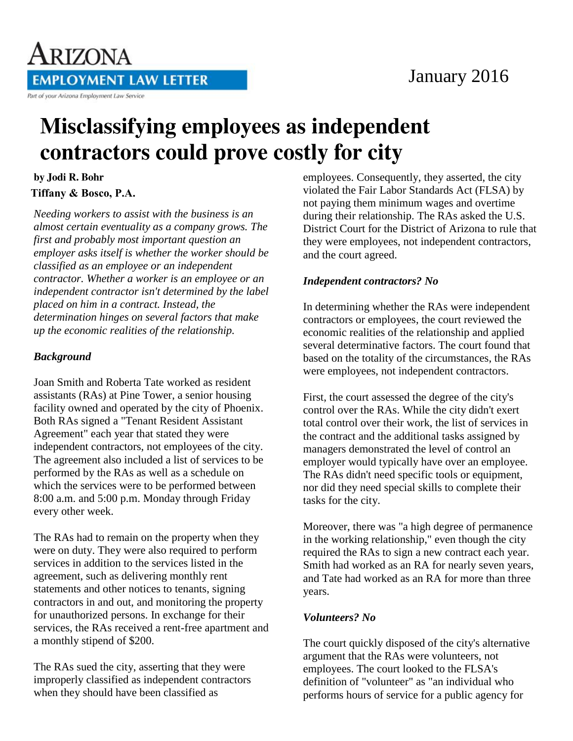

## January 2016

# **Misclassifying employees as independent** contractors could prove costly for city

#### by Jodi R. Bohr **Tiffany & Bosco, P.A.**

*Needing workers to assist with the business is an almost certain eventuality as a company grows. The first and probably most important question an employer asks itself is whether the worker should be classified as an employee or an independent contractor. Whether a worker is an employee or an independent contractor isn't determined by the label placed on him in a contract. Instead, the determination hinges on several factors that make up the economic realities of the relationship.*

#### *Background*

Joan Smith and Roberta Tate worked as resident assistants (RAs) at Pine Tower, a senior housing facility owned and operated by the city of Phoenix. Both RAs signed a "Tenant Resident Assistant Agreement" each year that stated they were independent contractors, not employees of the city. The agreement also included a list of services to be performed by the RAs as well as a schedule on which the services were to be performed between 8:00 a.m. and 5:00 p.m. Monday through Friday every other week.

The RAs had to remain on the property when they were on duty. They were also required to perform services in addition to the services listed in the agreement, such as delivering monthly rent statements and other notices to tenants, signing contractors in and out, and monitoring the property for unauthorized persons. In exchange for their services, the RAs received a rent-free apartment and a monthly stipend of \$200.

The RAs sued the city, asserting that they were improperly classified as independent contractors when they should have been classified as

employees. Consequently, they asserted, the city violated the Fair Labor Standards Act (FLSA) by not paying them minimum wages and overtime during their relationship. The RAs asked the U.S. District Court for the District of Arizona to rule that they were employees, not independent contractors, and the court agreed.

### *Independent contractors? No*

In determining whether the RAs were independent contractors or employees, the court reviewed the economic realities of the relationship and applied several determinative factors. The court found that based on the totality of the circumstances, the RAs were employees, not independent contractors.

First, the court assessed the degree of the city's control over the RAs. While the city didn't exert total control over their work, the list of services in the contract and the additional tasks assigned by managers demonstrated the level of control an employer would typically have over an employee. The RAs didn't need specific tools or equipment, nor did they need special skills to complete their tasks for the city.

Moreover, there was "a high degree of permanence in the working relationship," even though the city required the RAs to sign a new contract each year. Smith had worked as an RA for nearly seven years, and Tate had worked as an RA for more than three years.

#### *Volunteers? No*

The court quickly disposed of the city's alternative argument that the RAs were volunteers, not employees. The court looked to the FLSA's definition of "volunteer" as "an individual who performs hours of service for a public agency for